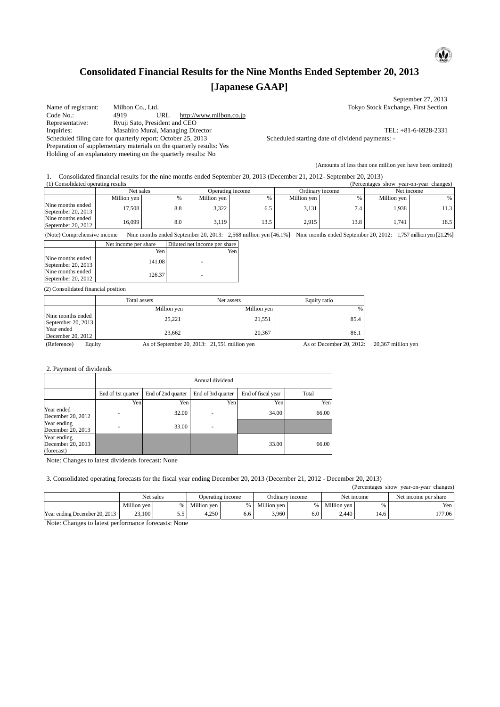# **Consolidated Financial Results for the Nine Months Ended September 20, 2013 [Japanese GAAP]**

 $\omega$ 

Name of registrant: Milbon Co., Ltd. Tokyo Stock Exchange, First Section<br>
Code No.: 4919 URL http://www.milbon.co.jp Code No.: 4919 URL http://www.milbon.co.jp<br>
Representative: Ryuji Sato, President and CEO Ryuji Sato, President and CEO Inquiries: Masahiro Murai, Managing Director<br>
Scheduled starting date of dividend payments: -<br>
Scheduled starting date of dividend payments: -Scheduled filing date for quarterly report: October 25, 2013 Preparation of supplementary materials on the quarterly results: Yes Holding of an explanatory meeting on the quarterly results: No

September 27, 2013

(Amounts of less than one million yen have been omitted)

1. Consolidated financial results for the nine months ended September 20, 2013 (December 21, 2012- September 20, 2013)

| (1) Consolidated operating results<br>(Percentages)<br>vear-on-vear changes)<br>show |               |     |                  |      |                 |      |             |      |
|--------------------------------------------------------------------------------------|---------------|-----|------------------|------|-----------------|------|-------------|------|
|                                                                                      | Net sales     |     | Operating income |      | Ordinary income |      | Net income  |      |
|                                                                                      | Million ven l | %   | Million ven      |      | Million yen     |      | Million yen | %    |
| Nine months ended<br>September 20, 2013                                              | 17.508        | 8.8 | 3,322            | 6.5  | 3.131           |      | 1.938       | 11.3 |
| Nine months ended<br>September 20, 2012                                              | 16,099        | 8.0 | 3,119            | 13.5 | 2.915           | 13.8 | . . 741     | 18.5 |

(Note) Comprehensive income Nine months ended September 20, 2013: 2,568 million yen [46.1%] Nine months ended September 20, 2012: 1,757 million yen [21.2%]

|                                           | Net income per share | Diluted net income per share |
|-------------------------------------------|----------------------|------------------------------|
|                                           | Yen                  | Yen                          |
| Nine months ended<br>September 20, $2013$ | 141.08               |                              |
| Nine months ended<br>September 20, $2012$ | 126.37               |                              |

(2) Consolidated financial position

|                                           | Total assets | Net assets  | Equity ratio |
|-------------------------------------------|--------------|-------------|--------------|
|                                           | Million yen  | Million yen | %            |
| Nine months ended 1<br>September 20, 2013 | 25,221       | 21.551      | 85.4         |
| Year ended<br>December 20, 2012           | 23,662       | 20.367      | 86.1         |

(Reference) Equity As of September 20, 2013: 21,551 million yen As of December 20, 2012: 20,367 million yen

(Percentages show year-on-year changes)

2. Payment of dividends

|                                                | Annual dividend    |                    |                    |                    |       |  |  |
|------------------------------------------------|--------------------|--------------------|--------------------|--------------------|-------|--|--|
|                                                | End of 1st quarter | End of 2nd quarter | End of 3rd quarter | End of fiscal year | Total |  |  |
|                                                | Yen                | Yen                | Yen                | Yen                | Yen   |  |  |
| Year ended<br>December 20, 2012                |                    | 32.00              |                    | 34.00              | 66.00 |  |  |
| Year ending<br>December 20, 2013               |                    | 33.00              |                    |                    |       |  |  |
| Year ending<br>December 20, 2013<br>(forecast) |                    |                    |                    | 33.00              | 66.00 |  |  |

Note: Changes to latest dividends forecast: None

3. Consolidated operating forecasts for the fiscal year ending December 20, 2013 (December 21, 2012 - December 20, 2013)

|                               |             |     |                  |     |                 |     |             |      | ---- ---             |
|-------------------------------|-------------|-----|------------------|-----|-----------------|-----|-------------|------|----------------------|
|                               | Net sales   |     | Operating income |     | Ordinary income |     | Net income  |      | Net income per share |
|                               | Million ven |     | Million ven      |     | Million ven     |     | Million ven |      | Yen                  |
| Year ending December 20, 2013 | 23,100      | ن.ر | 4.250            | 6.6 | 3,960           | 6.0 | 2.440       | 4.6ء | 177.06               |

Note: Changes to latest performance forecasts: None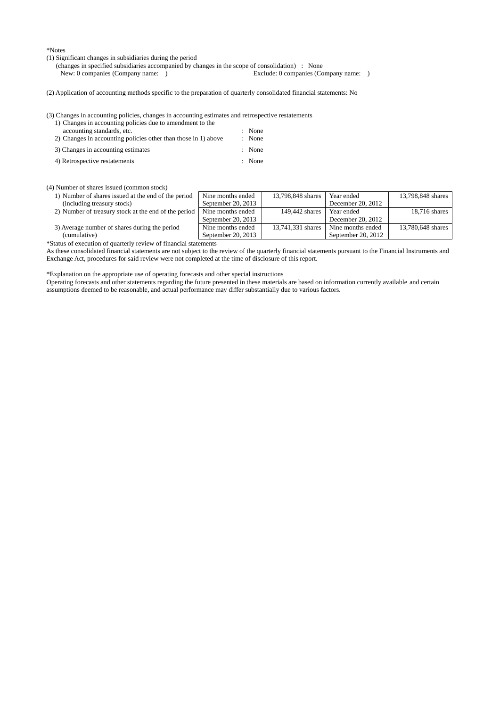\*Notes

(1) Significant changes in subsidiaries during the period

(changes in specified subsidiaries accompanied by changes in the scope of consolidation) : None<br>New: 0 companies (Company name: )<br>Reclude: 0 companies (Company name: )

- New: 0 companies (Company name: )
- (2) Application of accounting methods specific to the preparation of quarterly consolidated financial statements: No

(3) Changes in accounting policies, changes in accounting estimates and retrospective restatements

| 1) Changes in accounting policies due to amendment to the      |        |
|----------------------------------------------------------------|--------|
| accounting standards, etc.                                     | : None |
| 2) Changes in accounting policies other than those in 1) above | : None |
| 3) Changes in accounting estimates                             | : None |
| 4) Retrospective restatements                                  | : None |

#### (4) Number of shares issued (common stock)

- 1) Number of shares issued at the end of the period (including treasury stock) Nine months ended September 20, 2013 2) Number of treasury stock at the end of the period  $\sqrt{\phantom{a}}$  Nine months ended
- 

3) Average number of shares during the period (cumulative)

\*Status of execution of quarterly review of financial statements

As these consolidated financial statements are not subject to the review of the quarterly financial statements pursuant to the Financial Instruments and Exchange Act, procedures for said review were not completed at the time of disclosure of this report.

September 20, 2013

Nine months ended September 20, 2013 13,798,848 shares Year ended

149,442 shares Year ended

13,741,331 shares Nine months ended

December 20, 2012

December 20, 2012

September 20, 2012

13,798,848 shares

13,780,648 shares

18,716 shares

\*Explanation on the appropriate use of operating forecasts and other special instructions

Operating forecasts and other statements regarding the future presented in these materials are based on information currently available and certain assumptions deemed to be reasonable, and actual performance may differ substantially due to various factors.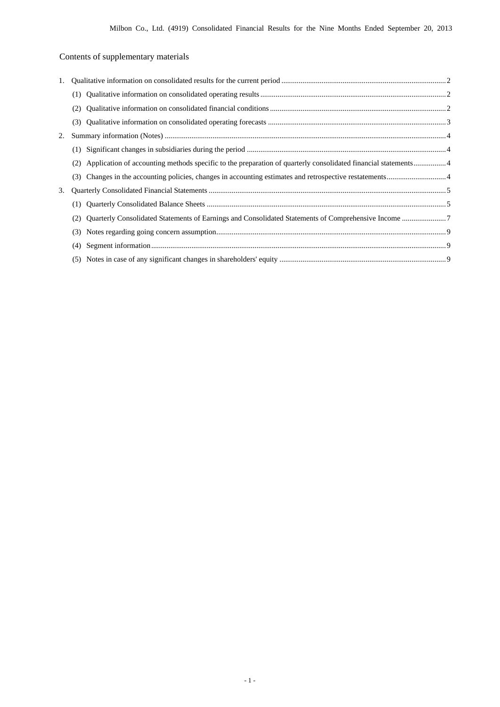## Contents of supplementary materials

| 1. |     |  |
|----|-----|--|
|    |     |  |
|    | (2) |  |
|    | (3) |  |
| 2. |     |  |
|    |     |  |
|    | (2) |  |
|    | (3) |  |
| 3. |     |  |
|    | (1) |  |
|    | (2) |  |
|    | (3) |  |
|    | (4) |  |
|    |     |  |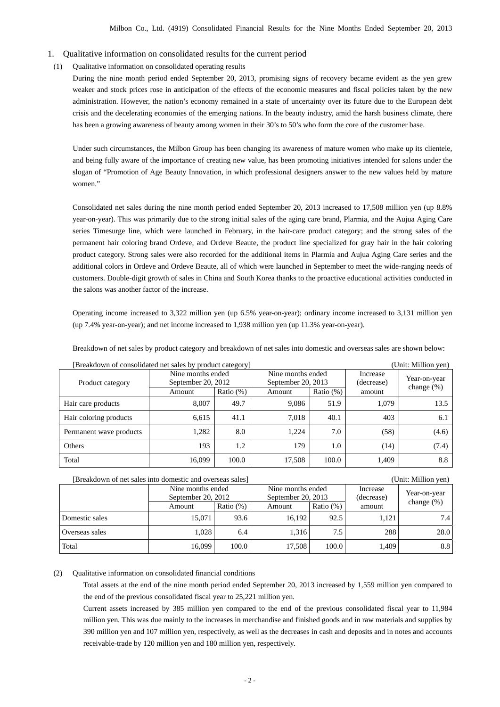- 1. Qualitative information on consolidated results for the current period
- (1) Qualitative information on consolidated operating results

During the nine month period ended September 20, 2013, promising signs of recovery became evident as the yen grew weaker and stock prices rose in anticipation of the effects of the economic measures and fiscal policies taken by the new administration. However, the nation's economy remained in a state of uncertainty over its future due to the European debt crisis and the decelerating economies of the emerging nations. In the beauty industry, amid the harsh business climate, there has been a growing awareness of beauty among women in their 30's to 50's who form the core of the customer base.

Under such circumstances, the Milbon Group has been changing its awareness of mature women who make up its clientele, and being fully aware of the importance of creating new value, has been promoting initiatives intended for salons under the slogan of "Promotion of Age Beauty Innovation, in which professional designers answer to the new values held by mature women."

Consolidated net sales during the nine month period ended September 20, 2013 increased to 17,508 million yen (up 8.8% year-on-year). This was primarily due to the strong initial sales of the aging care brand, Plarmia, and the Aujua Aging Care series Timesurge line, which were launched in February, in the hair-care product category; and the strong sales of the permanent hair coloring brand Ordeve, and Ordeve Beaute, the product line specialized for gray hair in the hair coloring product category. Strong sales were also recorded for the additional items in Plarmia and Aujua Aging Care series and the additional colors in Ordeve and Ordeve Beaute, all of which were launched in September to meet the wide-ranging needs of customers. Double-digit growth of sales in China and South Korea thanks to the proactive educational activities conducted in the salons was another factor of the increase.

Operating income increased to 3,322 million yen (up 6.5% year-on-year); ordinary income increased to 3,131 million yen (up 7.4% year-on-year); and net income increased to 1,938 million yen (up 11.3% year-on-year).

| [Breakdown of consolidated net sales by product category]<br>(Unit: Million yen) |                                         |              |                                         |              |                        |               |
|----------------------------------------------------------------------------------|-----------------------------------------|--------------|-----------------------------------------|--------------|------------------------|---------------|
| Product category                                                                 | Nine months ended<br>September 20, 2012 |              | Nine months ended<br>September 20, 2013 |              | Increase<br>(decrease) | Year-on-year  |
|                                                                                  | Amount                                  | Ratio $(\%)$ | Amount                                  | Ratio $(\%)$ | amount                 | change $(\%)$ |
| Hair care products                                                               | 8.007                                   | 49.7         | 9.086                                   | 51.9         | 1,079                  | 13.5          |
| Hair coloring products                                                           | 6,615                                   | 41.1         | 7,018                                   | 40.1         | 403                    | 6.1           |
| Permanent wave products                                                          | 1,282                                   | 8.0          | 1,224                                   | 7.0          | (58)                   | (4.6)         |
| Others                                                                           | 193                                     | 1.2          | 179                                     | 1.0          | (14)                   | (7.4)         |
| Total                                                                            | 16.099                                  | 100.0        | 17,508                                  | 100.0        | 1,409                  | 8.8           |

Breakdown of net sales by product category and breakdown of net sales into domestic and overseas sales are shown below:

| [Breakdown of net sales into domestic and overseas sales]<br>(Unit: Million yen) |                                         |              |                                         |              |                        |                               |  |
|----------------------------------------------------------------------------------|-----------------------------------------|--------------|-----------------------------------------|--------------|------------------------|-------------------------------|--|
|                                                                                  | Nine months ended<br>September 20, 2012 |              | Nine months ended<br>September 20, 2013 |              | Increase<br>(decrease) | Year-on-year<br>change $(\%)$ |  |
|                                                                                  | Amount                                  | Ratio $(\%)$ | Amount                                  | Ratio $(\%)$ | amount                 |                               |  |
| Domestic sales                                                                   | 15.071                                  | 93.6         | 16.192                                  | 92.5         | 1.121                  | 7.4                           |  |
| Overseas sales                                                                   | 1.028                                   | 6.4          | 1.316                                   | 7.5          | 288                    | 28.0                          |  |
| Total                                                                            | 16,099                                  | 100.0        | 17.508                                  | 100.0        | 1.409                  | 8.8                           |  |

(2) Qualitative information on consolidated financial conditions

Total assets at the end of the nine month period ended September 20, 2013 increased by 1,559 million yen compared to the end of the previous consolidated fiscal year to 25,221 million yen.

Current assets increased by 385 million yen compared to the end of the previous consolidated fiscal year to 11,984 million yen. This was due mainly to the increases in merchandise and finished goods and in raw materials and supplies by 390 million yen and 107 million yen, respectively, as well as the decreases in cash and deposits and in notes and accounts receivable-trade by 120 million yen and 180 million yen, respectively.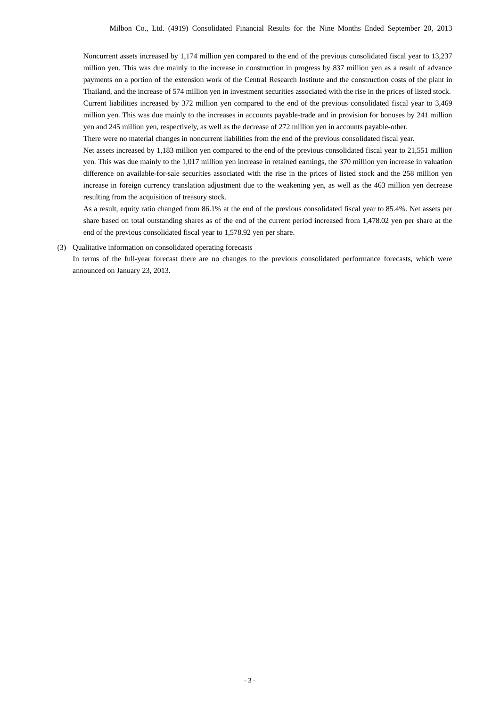Noncurrent assets increased by 1,174 million yen compared to the end of the previous consolidated fiscal year to 13,237 million yen. This was due mainly to the increase in construction in progress by 837 million yen as a result of advance payments on a portion of the extension work of the Central Research Institute and the construction costs of the plant in Thailand, and the increase of 574 million yen in investment securities associated with the rise in the prices of listed stock. Current liabilities increased by 372 million yen compared to the end of the previous consolidated fiscal year to 3,469 million yen. This was due mainly to the increases in accounts payable-trade and in provision for bonuses by 241 million yen and 245 million yen, respectively, as well as the decrease of 272 million yen in accounts payable-other.

There were no material changes in noncurrent liabilities from the end of the previous consolidated fiscal year.

Net assets increased by 1,183 million yen compared to the end of the previous consolidated fiscal year to 21,551 million yen. This was due mainly to the 1,017 million yen increase in retained earnings, the 370 million yen increase in valuation difference on available-for-sale securities associated with the rise in the prices of listed stock and the 258 million yen increase in foreign currency translation adjustment due to the weakening yen, as well as the 463 million yen decrease resulting from the acquisition of treasury stock.

As a result, equity ratio changed from 86.1% at the end of the previous consolidated fiscal year to 85.4%. Net assets per share based on total outstanding shares as of the end of the current period increased from 1,478.02 yen per share at the end of the previous consolidated fiscal year to 1,578.92 yen per share.

### (3) Qualitative information on consolidated operating forecasts

In terms of the full-year forecast there are no changes to the previous consolidated performance forecasts, which were announced on January 23, 2013.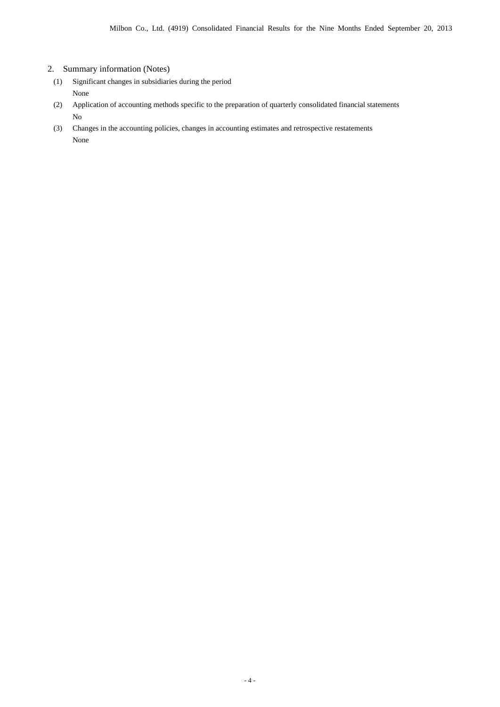### 2. Summary information (Notes)

- (1) Significant changes in subsidiaries during the period None
- (2) Application of accounting methods specific to the preparation of quarterly consolidated financial statements No
- (3) Changes in the accounting policies, changes in accounting estimates and retrospective restatements None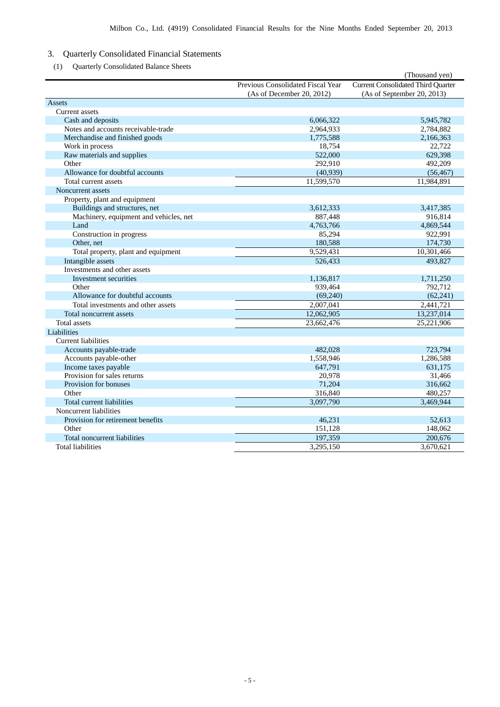### 3. Quarterly Consolidated Financial Statements

(1) Quarterly Consolidated Balance Sheets

|                                        |                                   | (Thousand yen)                            |
|----------------------------------------|-----------------------------------|-------------------------------------------|
|                                        | Previous Consolidated Fiscal Year | <b>Current Consolidated Third Quarter</b> |
|                                        | (As of December 20, 2012)         | (As of September 20, 2013)                |
| Assets                                 |                                   |                                           |
| <b>Current assets</b>                  |                                   |                                           |
| Cash and deposits                      | 6,066,322                         | 5,945,782                                 |
| Notes and accounts receivable-trade    | 2,964,933                         | 2,784,882                                 |
| Merchandise and finished goods         | 1,775,588                         | 2,166,363                                 |
| Work in process                        | 18,754                            | 22,722                                    |
| Raw materials and supplies             | 522,000                           | 629,398                                   |
| Other                                  | 292,910                           | 492,209                                   |
| Allowance for doubtful accounts        | (40, 939)                         | (56, 467)                                 |
| Total current assets                   | 11,599,570                        | 11,984,891                                |
| Noncurrent assets                      |                                   |                                           |
| Property, plant and equipment          |                                   |                                           |
| Buildings and structures, net          | 3,612,333                         | 3,417,385                                 |
| Machinery, equipment and vehicles, net | 887,448                           | 916,814                                   |
| Land                                   | 4,763,766                         | 4,869,544                                 |
| Construction in progress               | 85,294                            | 922,991                                   |
| Other, net                             | 180,588                           | 174,730                                   |
| Total property, plant and equipment    | 9,529,431                         | 10,301,466                                |
| Intangible assets                      | 526,433                           | 493,827                                   |
| Investments and other assets           |                                   |                                           |
| Investment securities                  | 1,136,817                         | 1,711,250                                 |
| Other                                  | 939,464                           | 792,712                                   |
| Allowance for doubtful accounts        | (69,240)                          | (62, 241)                                 |
| Total investments and other assets     | 2,007,041                         | 2,441,721                                 |
| Total noncurrent assets                | 12,062,905                        | 13,237,014                                |
| <b>Total</b> assets                    | 23,662,476                        | 25,221,906                                |
| Liabilities                            |                                   |                                           |
| <b>Current liabilities</b>             |                                   |                                           |
| Accounts payable-trade                 | 482,028                           | 723,794                                   |
| Accounts payable-other                 | 1,558,946                         | 1,286,588                                 |
| Income taxes payable                   | 647,791                           | 631,175                                   |
| Provision for sales returns            | 20,978                            | 31,466                                    |
| Provision for bonuses                  | 71,204                            | 316,662                                   |
| Other                                  | 316,840                           | 480,257                                   |
| Total current liabilities              | 3,097,790                         | 3,469,944                                 |
| Noncurrent liabilities                 |                                   |                                           |
| Provision for retirement benefits      | 46,231                            | 52,613                                    |
| Other                                  | 151,128                           | 148,062                                   |
| Total noncurrent liabilities           | 197,359                           | 200,676                                   |
| <b>Total liabilities</b>               | 3,295,150                         | 3,670,621                                 |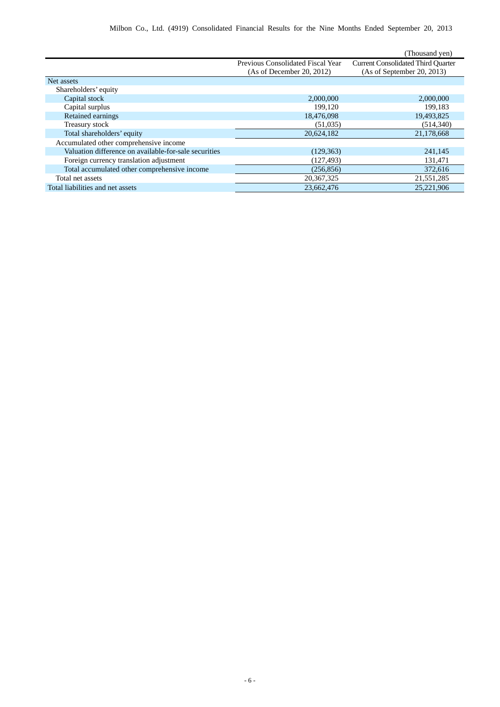|                                                       |                                   | (Thousand yen)                            |
|-------------------------------------------------------|-----------------------------------|-------------------------------------------|
|                                                       | Previous Consolidated Fiscal Year | <b>Current Consolidated Third Quarter</b> |
|                                                       | (As of December 20, 2012)         | (As of September 20, 2013)                |
| Net assets                                            |                                   |                                           |
| Shareholders' equity                                  |                                   |                                           |
| Capital stock                                         | 2,000,000                         | 2,000,000                                 |
| Capital surplus                                       | 199.120                           | 199,183                                   |
| Retained earnings                                     | 18,476,098                        | 19,493,825                                |
| Treasury stock                                        | (51,035)                          | (514, 340)                                |
| Total shareholders' equity                            | 20,624,182                        | 21,178,668                                |
| Accumulated other comprehensive income                |                                   |                                           |
| Valuation difference on available-for-sale securities | (129, 363)                        | 241,145                                   |
| Foreign currency translation adjustment               | (127, 493)                        | 131,471                                   |
| Total accumulated other comprehensive income          | (256, 856)                        | 372,616                                   |
| Total net assets                                      | 20, 367, 325                      | 21,551,285                                |
| Total liabilities and net assets                      | 23,662,476                        | 25,221,906                                |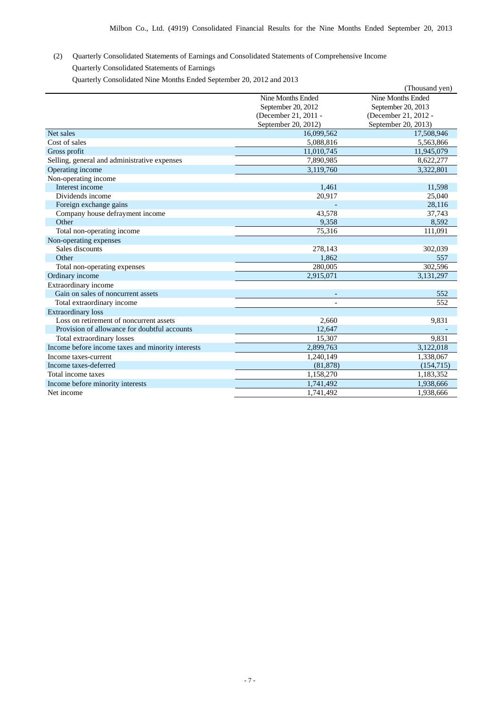(2) Quarterly Consolidated Statements of Earnings and Consolidated Statements of Comprehensive Income Quarterly Consolidated Statements of Earnings

Quarterly Consolidated Nine Months Ended September 20, 2012 and 2013

|                                                   |                      | (Thousand yen)       |
|---------------------------------------------------|----------------------|----------------------|
|                                                   | Nine Months Ended    | Nine Months Ended    |
|                                                   | September 20, 2012   | September 20, 2013   |
|                                                   | (December 21, 2011 - | (December 21, 2012 - |
|                                                   | September 20, 2012)  | September 20, 2013)  |
| Net sales                                         | 16,099,562           | 17,508,946           |
| Cost of sales                                     | 5,088,816            | 5,563,866            |
| Gross profit                                      | 11,010,745           | 11,945,079           |
| Selling, general and administrative expenses      | 7,890,985            | 8,622,277            |
| Operating income                                  | 3,119,760            | 3,322,801            |
| Non-operating income                              |                      |                      |
| Interest income                                   | 1,461                | 11,598               |
| Dividends income                                  | 20,917               | 25,040               |
| Foreign exchange gains                            |                      | 28,116               |
| Company house defrayment income                   | 43,578               | 37,743               |
| Other                                             | 9,358                | 8,592                |
| Total non-operating income                        | 75,316               | 111,091              |
| Non-operating expenses                            |                      |                      |
| Sales discounts                                   | 278,143              | 302,039              |
| Other                                             | 1,862                | 557                  |
| Total non-operating expenses                      | 280,005              | 302,596              |
| Ordinary income                                   | 2,915,071            | 3,131,297            |
| Extraordinary income                              |                      |                      |
| Gain on sales of noncurrent assets                | $\overline{a}$       | 552                  |
| Total extraordinary income                        |                      | 552                  |
| <b>Extraordinary loss</b>                         |                      |                      |
| Loss on retirement of noncurrent assets           | 2,660                | 9,831                |
| Provision of allowance for doubtful accounts      | 12,647               |                      |
| Total extraordinary losses                        | 15,307               | 9,831                |
| Income before income taxes and minority interests | 2,899,763            | 3,122,018            |
| Income taxes-current                              | 1,240,149            | 1,338,067            |
| Income taxes-deferred                             | (81, 878)            | (154, 715)           |
| Total income taxes                                | 1,158,270            | 1,183,352            |
| Income before minority interests                  | 1,741,492            | 1,938,666            |
| Net income                                        | 1.741.492            | 1.938.666            |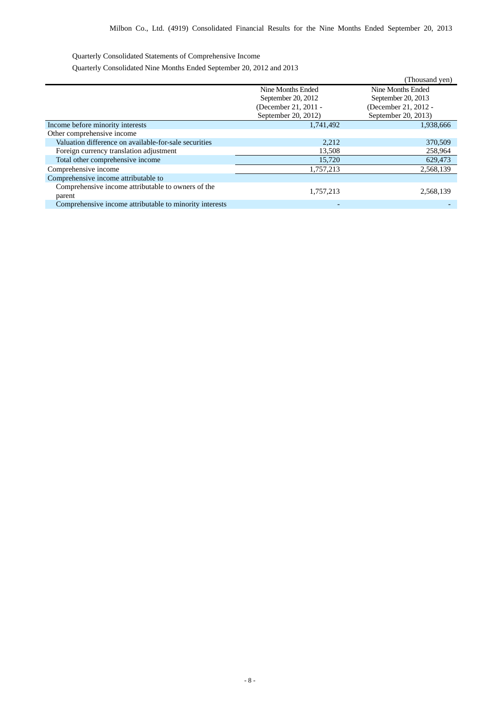Quarterly Consolidated Statements of Comprehensive Income

Quarterly Consolidated Nine Months Ended September 20, 2012 and 2013

|                                                         |                      | (Thousand yen)       |
|---------------------------------------------------------|----------------------|----------------------|
|                                                         | Nine Months Ended    | Nine Months Ended    |
|                                                         | September 20, 2012   | September 20, 2013   |
|                                                         | (December 21, 2011 - | (December 21, 2012 - |
|                                                         | September 20, 2012)  | September 20, 2013)  |
| Income before minority interests                        | 1,741,492            | 1,938,666            |
| Other comprehensive income                              |                      |                      |
| Valuation difference on available-for-sale securities   | 2,212                | 370,509              |
| Foreign currency translation adjustment                 | 13,508               | 258,964              |
| Total other comprehensive income                        | 15,720               | 629,473              |
| Comprehensive income                                    | 1,757,213            | 2,568,139            |
| Comprehensive income attributable to                    |                      |                      |
| Comprehensive income attributable to owners of the      |                      |                      |
| parent                                                  | 1,757,213            | 2,568,139            |
| Comprehensive income attributable to minority interests |                      |                      |